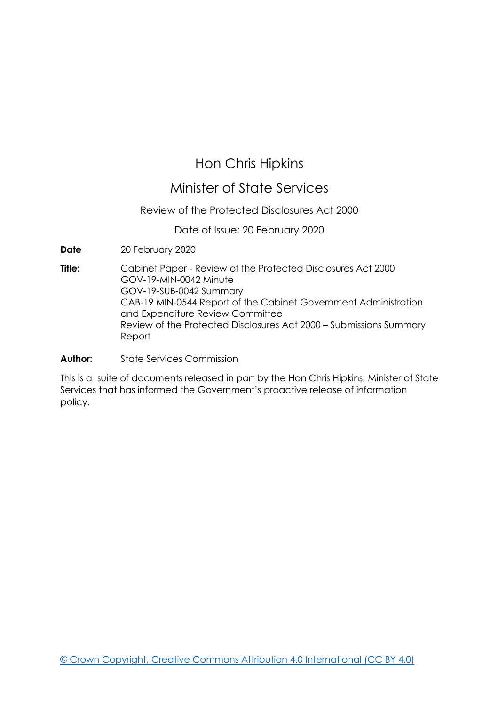## Hon Chris Hipkins

## Minister of State Services

## Review of the Protected Disclosures Act 2000

Date of Issue: 20 February 2020

**Date** 20 February 2020

**Title:** Cabinet Paper - Review of the Protected Disclosures Act 2000 GOV-19-MIN-0042 Minute GOV-19-SUB-0042 Summary CAB-19 MIN-0544 Report of the Cabinet Government Administration and Expenditure Review Committee Review of the Protected Disclosures Act 2000 – Submissions Summary Report

**Author:** State Services Commission

This is a suite of documents released in part by the Hon Chris Hipkins, Minister of State Services that has informed the Government's proactive release of information policy.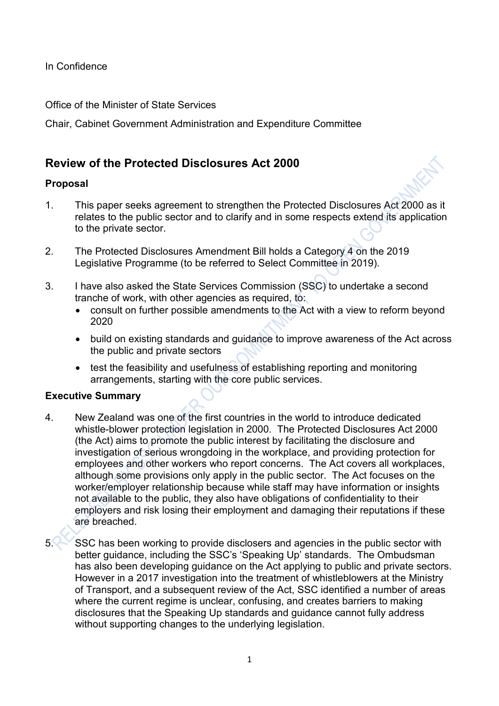In Confidence

Office of the Minister of State Services

Chair, Cabinet Government Administration and Expenditure Committee

## **Review of the Protected Disclosures Act 2000**

## **Proposal**

- 1. This paper seeks agreement to strengthen the Protected Disclosures Act 2000 as it relates to the public sector and to clarify and in some respects extend its application to the private sector.
- 2. The Protected Disclosures Amendment Bill holds a Category 4 on the 2019 Legislative Programme (to be referred to Select Committee in 2019).
- 3. I have also asked the State Services Commission (SSC) to undertake a second tranche of work, with other agencies as required, to:
	- consult on further possible amendments to the Act with a view to reform beyond 2020
	- build on existing standards and guidance to improve awareness of the Act across the public and private sectors
	- test the feasibility and usefulness of establishing reporting and monitoring arrangements, starting with the core public services.

## **Executive Summary**

- 4. New Zealand was one of the first countries in the world to introduce dedicated whistle-blower protection legislation in 2000. The Protected Disclosures Act 2000 (the Act) aims to promote the public interest by facilitating the disclosure and investigation of serious wrongdoing in the workplace, and providing protection for employees and other workers who report concerns. The Act covers all workplaces, although some provisions only apply in the public sector. The Act focuses on the worker/employer relationship because while staff may have information or insights not available to the public, they also have obligations of confidentiality to their employers and risk losing their employment and damaging their reputations if these are breached.
- 

5. SSC has been working to provide disclosers and agencies in the public sector with better guidance, including the SSC's 'Speaking Up' standards. The Ombudsman has also been developing guidance on the Act applying to public and private sectors. However in a 2017 investigation into the treatment of whistleblowers at the Ministry of Transport, and a subsequent review of the Act, SSC identified a number of areas where the current regime is unclear, confusing, and creates barriers to making disclosures that the Speaking Up standards and guidance cannot fully address without supporting changes to the underlying legislation.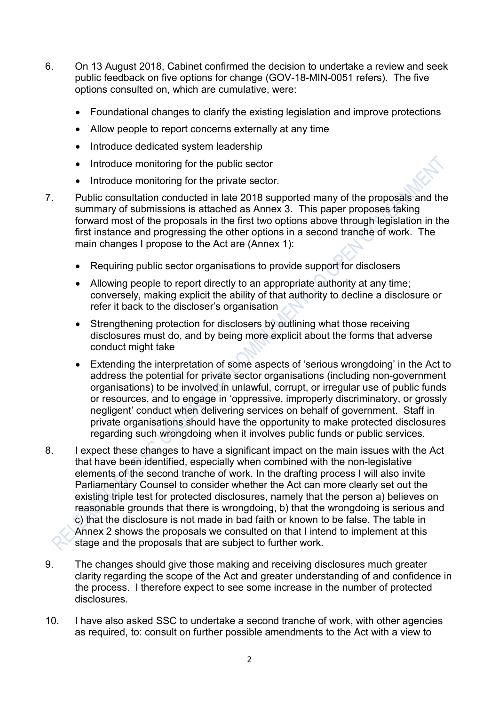- 6. On 13 August 2018, Cabinet confirmed the decision to undertake a review and seek public feedback on five options for change (GOV-18-MIN-0051 refers). The five options consulted on, which are cumulative, were:
	- Foundational changes to clarify the existing legislation and improve protections
	- Allow people to report concerns externally at any time
	- Introduce dedicated system leadership
	- Introduce monitoring for the public sector
	- Introduce monitoring for the private sector.
- 7. Public consultation conducted in late 2018 supported many of the proposals and the summary of submissions is attached as Annex 3. This paper proposes taking forward most of the proposals in the first two options above through legislation in the first instance and progressing the other options in a second tranche of work. The main changes I propose to the Act are (Annex 1):
	- Requiring public sector organisations to provide support for disclosers
	- Allowing people to report directly to an appropriate authority at any time; conversely, making explicit the ability of that authority to decline a disclosure or refer it back to the discloser's organisation
	- Strengthening protection for disclosers by outlining what those receiving disclosures must do, and by being more explicit about the forms that adverse conduct might take
	- Extending the interpretation of some aspects of 'serious wrongdoing' in the Act to address the potential for private sector organisations (including non-government organisations) to be involved in unlawful, corrupt, or irregular use of public funds or resources, and to engage in 'oppressive, improperly discriminatory, or grossly negligent' conduct when delivering services on behalf of government. Staff in private organisations should have the opportunity to make protected disclosures regarding such wrongdoing when it involves public funds or public services.
- 8. I expect these changes to have a significant impact on the main issues with the Act that have been identified, especially when combined with the non-legislative elements of the second tranche of work. In the drafting process I will also invite Parliamentary Counsel to consider whether the Act can more clearly set out the existing triple test for protected disclosures, namely that the person a) believes on reasonable grounds that there is wrongdoing, b) that the wrongdoing is serious and c) that the disclosure is not made in bad faith or known to be false. The table in Annex 2 shows the proposals we consulted on that I intend to implement at this stage and the proposals that are subject to further work.
- 9. The changes should give those making and receiving disclosures much greater clarity regarding the scope of the Act and greater understanding of and confidence in the process. I therefore expect to see some increase in the number of protected disclosures.
- 10. I have also asked SSC to undertake a second tranche of work, with other agencies as required, to: consult on further possible amendments to the Act with a view to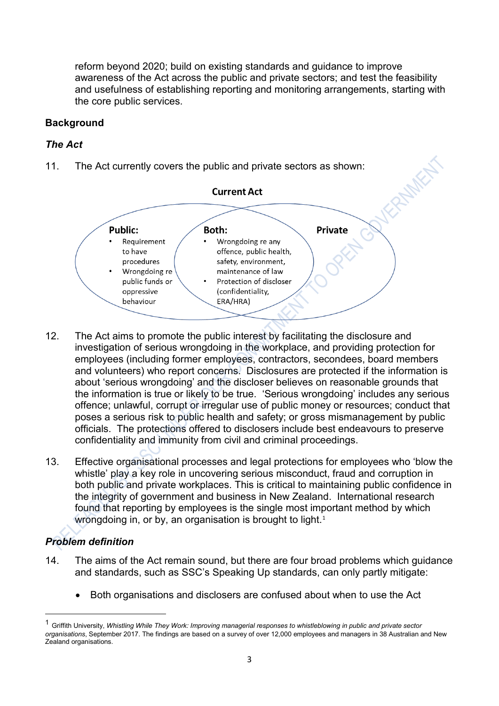reform beyond 2020; build on existing standards and guidance to improve awareness of the Act across the public and private sectors; and test the feasibility and usefulness of establishing reporting and monitoring arrangements, starting with the core public services.

## **Background**

## *The Act*

11. The Act currently covers the public and private sectors as shown:



- 12. The Act aims to promote the public interest by facilitating the disclosure and investigation of serious wrongdoing in the workplace, and providing protection for employees (including former employees, contractors, secondees, board members and volunteers) who report concerns. Disclosures are protected if the information is about 'serious wrongdoing' and the discloser believes on reasonable grounds that the information is true or likely to be true. 'Serious wrongdoing' includes any serious offence; unlawful, corrupt or irregular use of public money or resources; conduct that poses a serious risk to public health and safety; or gross mismanagement by public officials. The protections offered to disclosers include best endeavours to preserve confidentiality and immunity from civil and criminal proceedings.
- 13. Effective organisational processes and legal protections for employees who 'blow the whistle' play a key role in uncovering serious misconduct, fraud and corruption in both public and private workplaces. This is critical to maintaining public confidence in the integrity of government and business in New Zealand. International research found that reporting by employees is the single most important method by which wrongdoing in, or by, an organisation is brought to light.<sup>1</sup>

## *Problem definition*

- 14. The aims of the Act remain sound, but there are four broad problems which guidance and standards, such as SSC's Speaking Up standards, can only partly mitigate:
	- Both organisations and disclosers are confused about when to use the Act

<sup>1</sup> Griffith University, *Whistling While They Work: Improving managerial responses to whistleblowing in public and private sector organisations*, September 2017. The findings are based on a survey of over 12,000 employees and managers in 38 Australian and New Zealand organisations.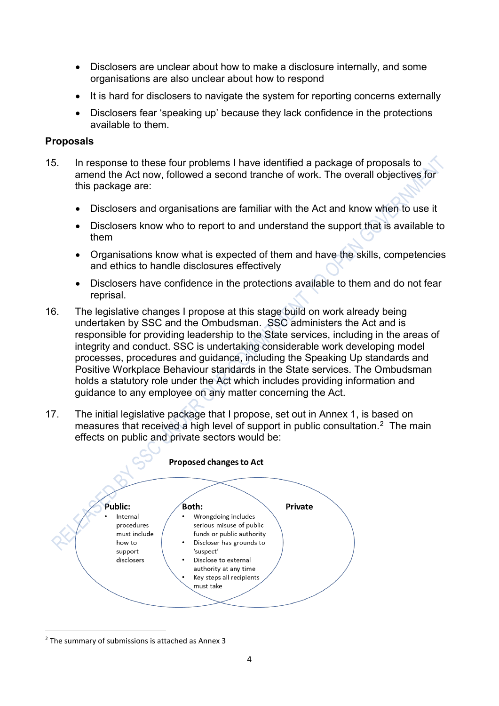- Disclosers are unclear about how to make a disclosure internally, and some organisations are also unclear about how to respond
- It is hard for disclosers to navigate the system for reporting concerns externally
- Disclosers fear 'speaking up' because they lack confidence in the protections available to them.

## **Proposals**

- 15. In response to these four problems I have identified a package of proposals to amend the Act now, followed a second tranche of work. The overall objectives for this package are:
	- Disclosers and organisations are familiar with the Act and know when to use it
	- Disclosers know who to report to and understand the support that is available to them
	- Organisations know what is expected of them and have the skills, competencies and ethics to handle disclosures effectively
	- Disclosers have confidence in the protections available to them and do not fear reprisal.
- 16. The legislative changes I propose at this stage build on work already being undertaken by SSC and the Ombudsman. SSC administers the Act and is responsible for providing leadership to the State services, including in the areas of integrity and conduct. SSC is undertaking considerable work developing model processes, procedures and guidance, including the Speaking Up standards and Positive Workplace Behaviour standards in the State services. The Ombudsman holds a statutory role under the Act which includes providing information and guidance to any employee on any matter concerning the Act.
- 17. The initial legislative package that I propose, set out in Annex 1, is based on measures that received a high level of support in public consultation.<sup>2</sup> The main effects on public and private sectors would be:



<sup>2</sup> The summary of submissions is attached as Annex 3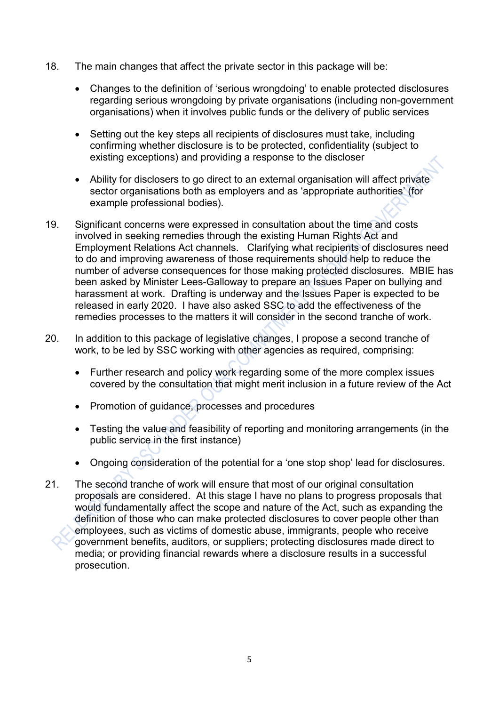- 18. The main changes that affect the private sector in this package will be:
	- Changes to the definition of 'serious wrongdoing' to enable protected disclosures regarding serious wrongdoing by private organisations (including non-government organisations) when it involves public funds or the delivery of public services
	- Setting out the key steps all recipients of disclosures must take, including confirming whether disclosure is to be protected, confidentiality (subject to existing exceptions) and providing a response to the discloser
	- Ability for disclosers to go direct to an external organisation will affect private sector organisations both as employers and as 'appropriate authorities' (for example professional bodies).
- 19. Significant concerns were expressed in consultation about the time and costs involved in seeking remedies through the existing Human Rights Act and Employment Relations Act channels. Clarifying what recipients of disclosures need to do and improving awareness of those requirements should help to reduce the number of adverse consequences for those making protected disclosures. MBIE has been asked by Minister Lees-Galloway to prepare an Issues Paper on bullying and harassment at work. Drafting is underway and the Issues Paper is expected to be released in early 2020. I have also asked SSC to add the effectiveness of the remedies processes to the matters it will consider in the second tranche of work.
- 20. In addition to this package of legislative changes, I propose a second tranche of work, to be led by SSC working with other agencies as required, comprising:
	- Further research and policy work regarding some of the more complex issues covered by the consultation that might merit inclusion in a future review of the Act
	- Promotion of guidance, processes and procedures
	- Testing the value and feasibility of reporting and monitoring arrangements (in the public service in the first instance)
	- Ongoing consideration of the potential for a 'one stop shop' lead for disclosures.
- 21. The second tranche of work will ensure that most of our original consultation proposals are considered. At this stage I have no plans to progress proposals that would fundamentally affect the scope and nature of the Act, such as expanding the definition of those who can make protected disclosures to cover people other than employees, such as victims of domestic abuse, immigrants, people who receive government benefits, auditors, or suppliers; protecting disclosures made direct to media; or providing financial rewards where a disclosure results in a successful prosecution.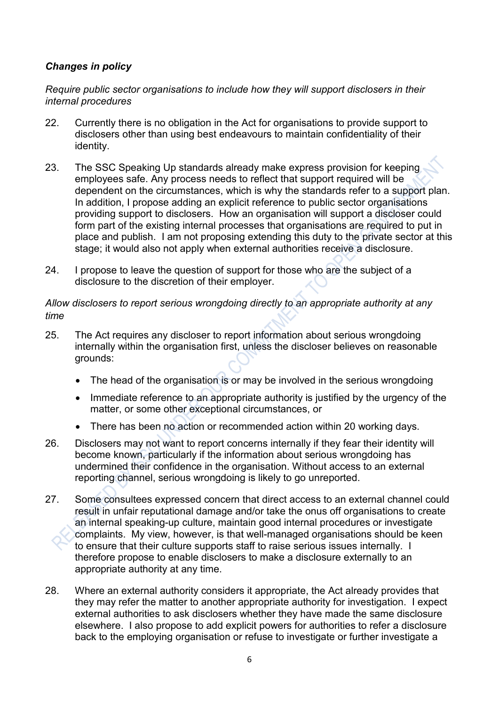## *Changes in policy*

*Require public sector organisations to include how they will support disclosers in their internal procedures*

- 22. Currently there is no obligation in the Act for organisations to provide support to disclosers other than using best endeavours to maintain confidentiality of their identity.
- 23. The SSC Speaking Up standards already make express provision for keeping employees safe. Any process needs to reflect that support required will be dependent on the circumstances, which is why the standards refer to a support plan. In addition, I propose adding an explicit reference to public sector organisations providing support to disclosers. How an organisation will support a discloser could form part of the existing internal processes that organisations are required to put in place and publish. I am not proposing extending this duty to the private sector at this stage; it would also not apply when external authorities receive a disclosure.
- 24. I propose to leave the question of support for those who are the subject of a disclosure to the discretion of their employer.

*Allow disclosers to report serious wrongdoing directly to an appropriate authority at any time*

- 25. The Act requires any discloser to report information about serious wrongdoing internally within the organisation first, unless the discloser believes on reasonable grounds:
	- The head of the organisation is or may be involved in the serious wrongdoing
	- Immediate reference to an appropriate authority is justified by the urgency of the matter, or some other exceptional circumstances, or
	- There has been no action or recommended action within 20 working days.
- 26. Disclosers may not want to report concerns internally if they fear their identity will become known, particularly if the information about serious wrongdoing has undermined their confidence in the organisation. Without access to an external reporting channel, serious wrongdoing is likely to go unreported.
- 27. Some consultees expressed concern that direct access to an external channel could result in unfair reputational damage and/or take the onus off organisations to create an internal speaking-up culture, maintain good internal procedures or investigate complaints. My view, however, is that well-managed organisations should be keen to ensure that their culture supports staff to raise serious issues internally. I therefore propose to enable disclosers to make a disclosure externally to an appropriate authority at any time.
- 28. Where an external authority considers it appropriate, the Act already provides that they may refer the matter to another appropriate authority for investigation. I expect external authorities to ask disclosers whether they have made the same disclosure elsewhere. I also propose to add explicit powers for authorities to refer a disclosure back to the employing organisation or refuse to investigate or further investigate a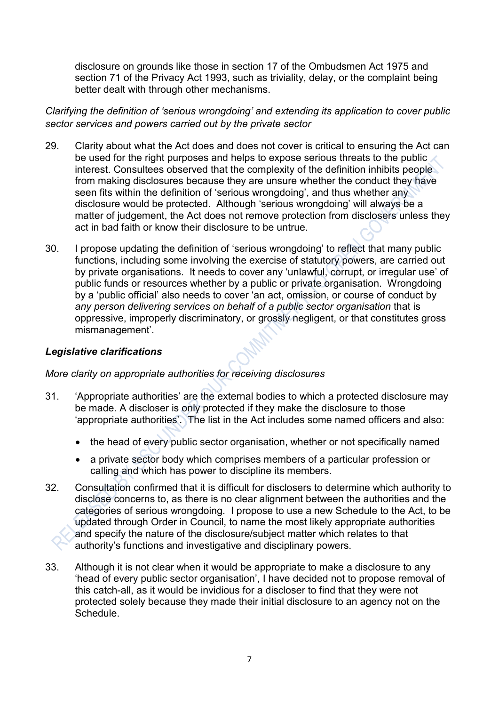disclosure on grounds like those in section 17 of the Ombudsmen Act 1975 and section 71 of the Privacy Act 1993, such as triviality, delay, or the complaint being better dealt with through other mechanisms.

*Clarifying the definition of 'serious wrongdoing' and extending its application to cover public sector services and powers carried out by the private sector* 

- 29. Clarity about what the Act does and does not cover is critical to ensuring the Act can be used for the right purposes and helps to expose serious threats to the public interest. Consultees observed that the complexity of the definition inhibits people from making disclosures because they are unsure whether the conduct they have seen fits within the definition of 'serious wrongdoing', and thus whether any disclosure would be protected. Although 'serious wrongdoing' will always be a matter of judgement, the Act does not remove protection from disclosers unless they act in bad faith or know their disclosure to be untrue.
- 30. I propose updating the definition of 'serious wrongdoing' to reflect that many public functions, including some involving the exercise of statutory powers, are carried out by private organisations. It needs to cover any 'unlawful, corrupt, or irregular use' of public funds or resources whether by a public or private organisation. Wrongdoing by a 'public official' also needs to cover 'an act, omission, or course of conduct by *any person delivering services on behalf of a public sector organisation* that is oppressive, improperly discriminatory, or grossly negligent, or that constitutes gross mismanagement'.

## *Legislative clarifications*

## *More clarity on appropriate authorities for receiving disclosures*

- 31. 'Appropriate authorities' are the external bodies to which a protected disclosure may be made. A discloser is only protected if they make the disclosure to those 'appropriate authorities'. The list in the Act includes some named officers and also:
	- the head of every public sector organisation, whether or not specifically named
	- a private sector body which comprises members of a particular profession or calling and which has power to discipline its members.
- 32. Consultation confirmed that it is difficult for disclosers to determine which authority to disclose concerns to, as there is no clear alignment between the authorities and the categories of serious wrongdoing. I propose to use a new Schedule to the Act, to be updated through Order in Council, to name the most likely appropriate authorities and specify the nature of the disclosure/subject matter which relates to that authority's functions and investigative and disciplinary powers.
- 33. Although it is not clear when it would be appropriate to make a disclosure to any 'head of every public sector organisation', I have decided not to propose removal of this catch-all, as it would be invidious for a discloser to find that they were not protected solely because they made their initial disclosure to an agency not on the **Schedule**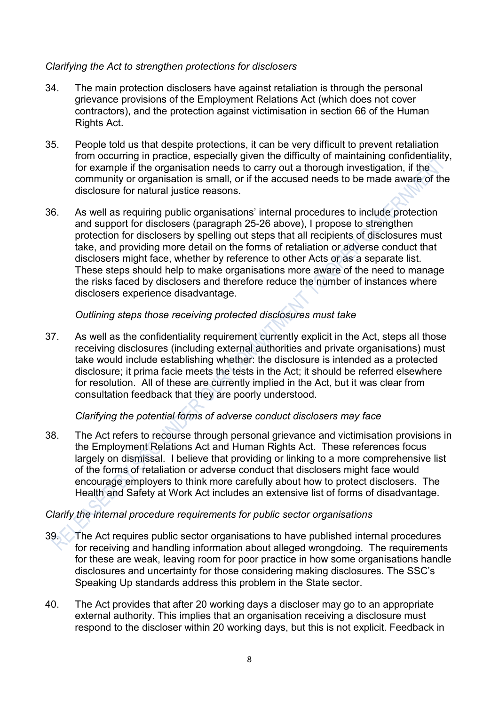## *Clarifying the Act to strengthen protections for disclosers*

- 34. The main protection disclosers have against retaliation is through the personal grievance provisions of the Employment Relations Act (which does not cover contractors), and the protection against victimisation in section 66 of the Human Rights Act.
- 35. People told us that despite protections, it can be very difficult to prevent retaliation from occurring in practice, especially given the difficulty of maintaining confidentiality, for example if the organisation needs to carry out a thorough investigation, if the community or organisation is small, or if the accused needs to be made aware of the disclosure for natural justice reasons.
- 36. As well as requiring public organisations' internal procedures to include protection and support for disclosers (paragraph 25-26 above), I propose to strengthen protection for disclosers by spelling out steps that all recipients of disclosures must take, and providing more detail on the forms of retaliation or adverse conduct that disclosers might face, whether by reference to other Acts or as a separate list. These steps should help to make organisations more aware of the need to manage the risks faced by disclosers and therefore reduce the number of instances where disclosers experience disadvantage.

## *Outlining steps those receiving protected disclosures must take*

37. As well as the confidentiality requirement currently explicit in the Act, steps all those receiving disclosures (including external authorities and private organisations) must take would include establishing whether: the disclosure is intended as a protected disclosure; it prima facie meets the tests in the Act; it should be referred elsewhere for resolution. All of these are currently implied in the Act, but it was clear from consultation feedback that they are poorly understood.

## *Clarifying the potential forms of adverse conduct disclosers may face*

38. The Act refers to recourse through personal grievance and victimisation provisions in the Employment Relations Act and Human Rights Act. These references focus largely on dismissal. I believe that providing or linking to a more comprehensive list of the forms of retaliation or adverse conduct that disclosers might face would encourage employers to think more carefully about how to protect disclosers. The Health and Safety at Work Act includes an extensive list of forms of disadvantage.

## *Clarify the internal procedure requirements for public sector organisations*

- 39. The Act requires public sector organisations to have published internal procedures for receiving and handling information about alleged wrongdoing. The requirements for these are weak, leaving room for poor practice in how some organisations handle disclosures and uncertainty for those considering making disclosures. The SSC's Speaking Up standards address this problem in the State sector.
- 40. The Act provides that after 20 working days a discloser may go to an appropriate external authority. This implies that an organisation receiving a disclosure must respond to the discloser within 20 working days, but this is not explicit. Feedback in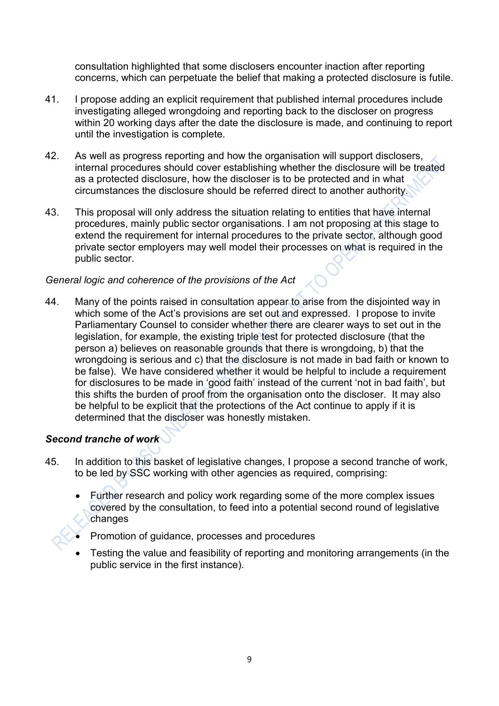consultation highlighted that some disclosers encounter inaction after reporting concerns, which can perpetuate the belief that making a protected disclosure is futile.

- 41. I propose adding an explicit requirement that published internal procedures include investigating alleged wrongdoing and reporting back to the discloser on progress within 20 working days after the date the disclosure is made, and continuing to report until the investigation is complete.
- 42. As well as progress reporting and how the organisation will support disclosers, internal procedures should cover establishing whether the disclosure will be treated as a protected disclosure, how the discloser is to be protected and in what circumstances the disclosure should be referred direct to another authority.
- 43. This proposal will only address the situation relating to entities that have internal procedures, mainly public sector organisations. I am not proposing at this stage to extend the requirement for internal procedures to the private sector, although good private sector employers may well model their processes on what is required in the public sector.

## *General logic and coherence of the provisions of the Act*

44. Many of the points raised in consultation appear to arise from the disjointed way in which some of the Act's provisions are set out and expressed. I propose to invite Parliamentary Counsel to consider whether there are clearer ways to set out in the legislation, for example, the existing triple test for protected disclosure (that the person a) believes on reasonable grounds that there is wrongdoing, b) that the wrongdoing is serious and c) that the disclosure is not made in bad faith or known to be false). We have considered whether it would be helpful to include a requirement for disclosures to be made in 'good faith' instead of the current 'not in bad faith', but this shifts the burden of proof from the organisation onto the discloser. It may also be helpful to be explicit that the protections of the Act continue to apply if it is determined that the discloser was honestly mistaken.

## *Second tranche of work*

- 45. In addition to this basket of legislative changes, I propose a second tranche of work, to be led by SSC working with other agencies as required, comprising:
	- Further research and policy work regarding some of the more complex issues covered by the consultation, to feed into a potential second round of legislative changes
	- Promotion of guidance, processes and procedures
	- Testing the value and feasibility of reporting and monitoring arrangements (in the public service in the first instance).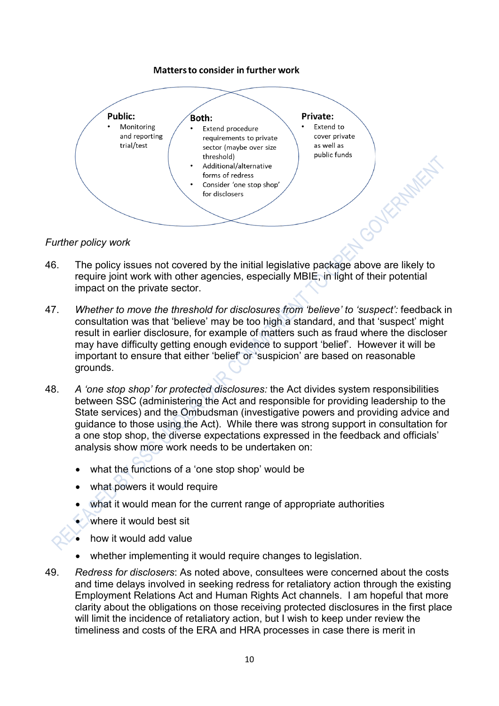### **Matters to consider in further work**



### *Further policy work*

- 46. The policy issues not covered by the initial legislative package above are likely to require joint work with other agencies, especially MBIE, in light of their potential impact on the private sector.
- 47. *Whether to move the threshold for disclosures from 'believe' to 'suspect':* feedback in consultation was that 'believe' may be too high a standard, and that 'suspect' might result in earlier disclosure, for example of matters such as fraud where the discloser may have difficulty getting enough evidence to support 'belief'. However it will be important to ensure that either 'belief' or 'suspicion' are based on reasonable grounds.
- 48. *A 'one stop shop' for protected disclosures:* the Act divides system responsibilities between SSC (administering the Act and responsible for providing leadership to the State services) and the Ombudsman (investigative powers and providing advice and guidance to those using the Act). While there was strong support in consultation for a one stop shop, the diverse expectations expressed in the feedback and officials' analysis show more work needs to be undertaken on:
	- what the functions of a 'one stop shop' would be
	- what powers it would require
	- what it would mean for the current range of appropriate authorities
	- where it would best sit
	- how it would add value
	- whether implementing it would require changes to legislation.
- 49. *Redress for disclosers*: As noted above, consultees were concerned about the costs and time delays involved in seeking redress for retaliatory action through the existing Employment Relations Act and Human Rights Act channels. I am hopeful that more clarity about the obligations on those receiving protected disclosures in the first place will limit the incidence of retaliatory action, but I wish to keep under review the timeliness and costs of the ERA and HRA processes in case there is merit in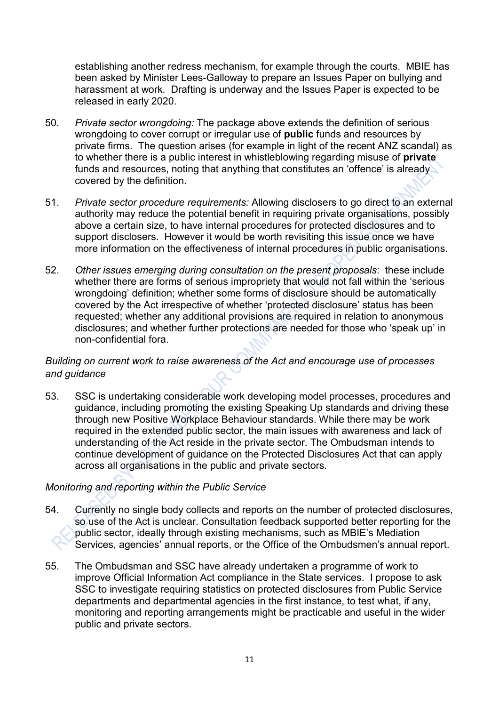establishing another redress mechanism, for example through the courts. MBIE has been asked by Minister Lees-Galloway to prepare an Issues Paper on bullying and harassment at work. Drafting is underway and the Issues Paper is expected to be released in early 2020.

- 50. *Private sector wrongdoing:* The package above extends the definition of serious wrongdoing to cover corrupt or irregular use of **public** funds and resources by private firms. The question arises (for example in light of the recent ANZ scandal) as to whether there is a public interest in whistleblowing regarding misuse of **private** funds and resources, noting that anything that constitutes an 'offence' is already covered by the definition.
- 51. *Private sector procedure requirements:* Allowing disclosers to go direct to an external authority may reduce the potential benefit in requiring private organisations, possibly above a certain size, to have internal procedures for protected disclosures and to support disclosers. However it would be worth revisiting this issue once we have more information on the effectiveness of internal procedures in public organisations.
- 52. *Other issues emerging during consultation on the present proposals*: these include whether there are forms of serious impropriety that would not fall within the 'serious wrongdoing' definition; whether some forms of disclosure should be automatically covered by the Act irrespective of whether 'protected disclosure' status has been requested; whether any additional provisions are required in relation to anonymous disclosures; and whether further protections are needed for those who 'speak up' in non-confidential fora.

## *Building on current work to raise awareness of the Act and encourage use of processes and guidance*

53. SSC is undertaking considerable work developing model processes, procedures and guidance, including promoting the existing Speaking Up standards and driving these through new Positive Workplace Behaviour standards. While there may be work required in the extended public sector, the main issues with awareness and lack of understanding of the Act reside in the private sector. The Ombudsman intends to continue development of guidance on the Protected Disclosures Act that can apply across all organisations in the public and private sectors.

## *Monitoring and reporting within the Public Service*

- 54. Currently no single body collects and reports on the number of protected disclosures, so use of the Act is unclear. Consultation feedback supported better reporting for the public sector, ideally through existing mechanisms, such as MBIE's Mediation Services, agencies' annual reports, or the Office of the Ombudsmen's annual report.
- 55. The Ombudsman and SSC have already undertaken a programme of work to improve Official Information Act compliance in the State services. I propose to ask SSC to investigate requiring statistics on protected disclosures from Public Service departments and departmental agencies in the first instance, to test what, if any, monitoring and reporting arrangements might be practicable and useful in the wider public and private sectors.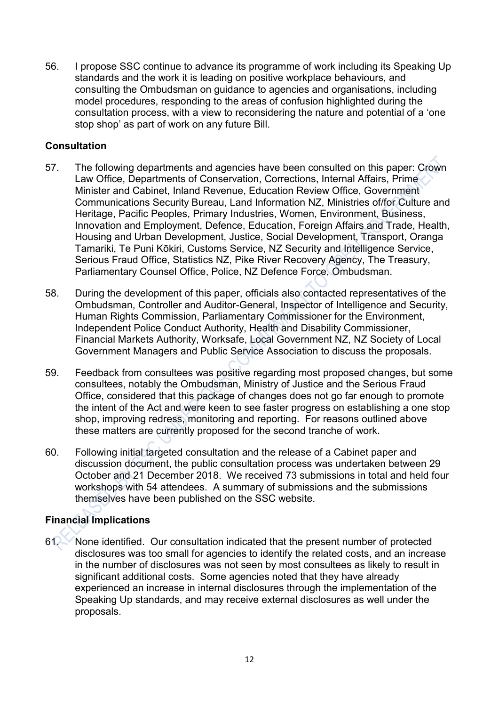56. I propose SSC continue to advance its programme of work including its Speaking Up standards and the work it is leading on positive workplace behaviours, and consulting the Ombudsman on guidance to agencies and organisations, including model procedures, responding to the areas of confusion highlighted during the consultation process, with a view to reconsidering the nature and potential of a 'one stop shop' as part of work on any future Bill.

## **Consultation**

- 57. The following departments and agencies have been consulted on this paper: Crown Law Office, Departments of Conservation, Corrections, Internal Affairs, Prime Minister and Cabinet, Inland Revenue, Education Review Office, Government Communications Security Bureau, Land Information NZ, Ministries of/for Culture and Heritage, Pacific Peoples, Primary Industries, Women, Environment, Business, Innovation and Employment, Defence, Education, Foreign Affairs and Trade, Health, Housing and Urban Development, Justice, Social Development, Transport, Oranga Tamariki, Te Puni Kōkiri, Customs Service, NZ Security and Intelligence Service, Serious Fraud Office, Statistics NZ, Pike River Recovery Agency, The Treasury, Parliamentary Counsel Office, Police, NZ Defence Force, Ombudsman.
- 58. During the development of this paper, officials also contacted representatives of the Ombudsman, Controller and Auditor-General, Inspector of Intelligence and Security, Human Rights Commission, Parliamentary Commissioner for the Environment, Independent Police Conduct Authority, Health and Disability Commissioner, Financial Markets Authority, Worksafe, Local Government NZ, NZ Society of Local Government Managers and Public Service Association to discuss the proposals.
- 59. Feedback from consultees was positive regarding most proposed changes, but some consultees, notably the Ombudsman, Ministry of Justice and the Serious Fraud Office, considered that this package of changes does not go far enough to promote the intent of the Act and were keen to see faster progress on establishing a one stop shop, improving redress, monitoring and reporting. For reasons outlined above these matters are currently proposed for the second tranche of work.
- 60. Following initial targeted consultation and the release of a Cabinet paper and discussion document, the public consultation process was undertaken between 29 October and 21 December 2018. We received 73 submissions in total and held four workshops with 54 attendees. A summary of submissions and the submissions themselves have been published on the SSC website.

## **Financial Implications**

61. None identified. Our consultation indicated that the present number of protected disclosures was too small for agencies to identify the related costs, and an increase in the number of disclosures was not seen by most consultees as likely to result in significant additional costs. Some agencies noted that they have already experienced an increase in internal disclosures through the implementation of the Speaking Up standards, and may receive external disclosures as well under the proposals.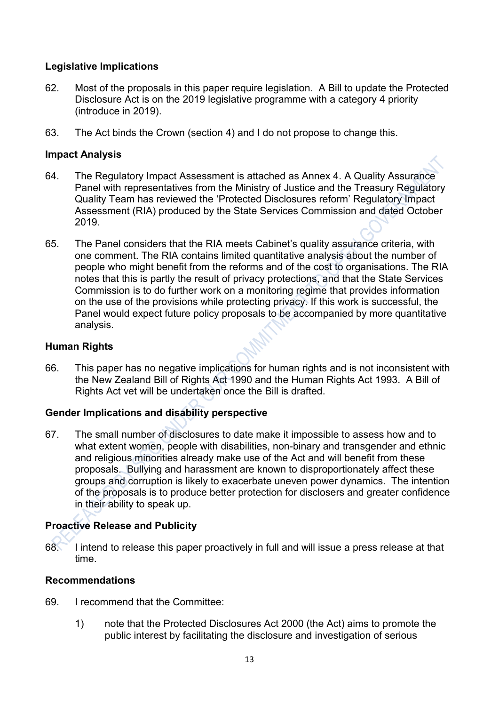## **Legislative Implications**

- 62. Most of the proposals in this paper require legislation. A Bill to update the Protected Disclosure Act is on the 2019 legislative programme with a category 4 priority (introduce in 2019).
- 63. The Act binds the Crown (section 4) and I do not propose to change this.

## **Impact Analysis**

- 64. The Regulatory Impact Assessment is attached as Annex 4. A Quality Assurance Panel with representatives from the Ministry of Justice and the Treasury Regulatory Quality Team has reviewed the 'Protected Disclosures reform' Regulatory Impact Assessment (RIA) produced by the State Services Commission and dated October 2019.
- 65. The Panel considers that the RIA meets Cabinet's quality assurance criteria, with one comment. The RIA contains limited quantitative analysis about the number of people who might benefit from the reforms and of the cost to organisations. The RIA notes that this is partly the result of privacy protections, and that the State Services Commission is to do further work on a monitoring regime that provides information on the use of the provisions while protecting privacy. If this work is successful, the Panel would expect future policy proposals to be accompanied by more quantitative analysis.

## **Human Rights**

66. This paper has no negative implications for human rights and is not inconsistent with the New Zealand Bill of Rights Act 1990 and the Human Rights Act 1993. A Bill of Rights Act vet will be undertaken once the Bill is drafted.

## **Gender Implications and disability perspective**

67. The small number of disclosures to date make it impossible to assess how and to what extent women, people with disabilities, non-binary and transgender and ethnic and religious minorities already make use of the Act and will benefit from these proposals. Bullying and harassment are known to disproportionately affect these groups and corruption is likely to exacerbate uneven power dynamics. The intention of the proposals is to produce better protection for disclosers and greater confidence in their ability to speak up.

## **Proactive Release and Publicity**

68. I intend to release this paper proactively in full and will issue a press release at that time.

## **Recommendations**

- 69. I recommend that the Committee:
	- 1) note that the Protected Disclosures Act 2000 (the Act) aims to promote the public interest by facilitating the disclosure and investigation of serious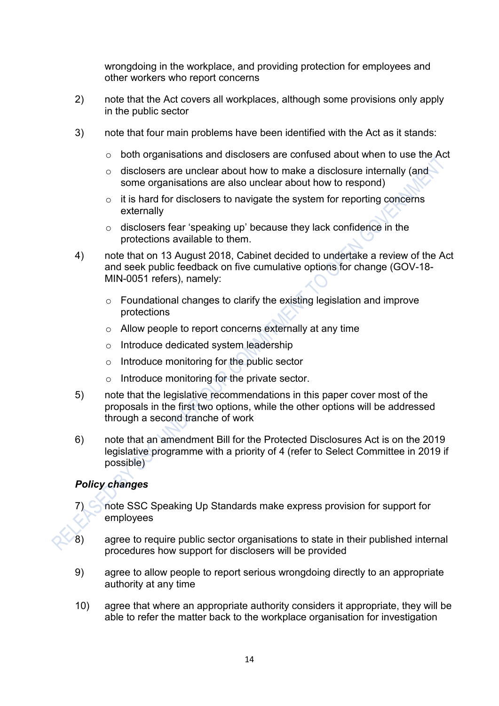wrongdoing in the workplace, and providing protection for employees and other workers who report concerns

- 2) note that the Act covers all workplaces, although some provisions only apply in the public sector
- 3) note that four main problems have been identified with the Act as it stands:
	- o both organisations and disclosers are confused about when to use the Act
	- o disclosers are unclear about how to make a disclosure internally (and some organisations are also unclear about how to respond)
	- o it is hard for disclosers to navigate the system for reporting concerns externally
	- o disclosers fear 'speaking up' because they lack confidence in the protections available to them.
- 4) note that on 13 August 2018, Cabinet decided to undertake a review of the Act and seek public feedback on five cumulative options for change (GOV-18- MIN-0051 refers), namely:
	- o Foundational changes to clarify the existing legislation and improve protections
	- o Allow people to report concerns externally at any time
	- o Introduce dedicated system leadership
	- o Introduce monitoring for the public sector
	- o Introduce monitoring for the private sector.
- 5) note that the legislative recommendations in this paper cover most of the proposals in the first two options, while the other options will be addressed through a second tranche of work
- 6) note that an amendment Bill for the Protected Disclosures Act is on the 2019 legislative programme with a priority of 4 (refer to Select Committee in 2019 if possible)

## *Policy changes*

- 7) note SSC Speaking Up Standards make express provision for support for employees
- 8) agree to require public sector organisations to state in their published internal procedures how support for disclosers will be provided
- 9) agree to allow people to report serious wrongdoing directly to an appropriate authority at any time
- 10) agree that where an appropriate authority considers it appropriate, they will be able to refer the matter back to the workplace organisation for investigation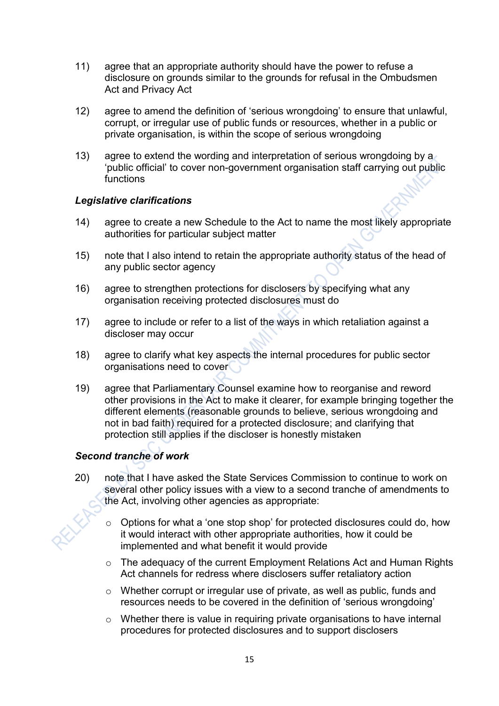- 11) agree that an appropriate authority should have the power to refuse a disclosure on grounds similar to the grounds for refusal in the Ombudsmen Act and Privacy Act
- 12) agree to amend the definition of 'serious wrongdoing' to ensure that unlawful, corrupt, or irregular use of public funds or resources, whether in a public or private organisation, is within the scope of serious wrongdoing
- 13) agree to extend the wording and interpretation of serious wrongdoing by a 'public official' to cover non-government organisation staff carrying out public functions

## *Legislative clarifications*

- 14) agree to create a new Schedule to the Act to name the most likely appropriate authorities for particular subject matter
- 15) note that I also intend to retain the appropriate authority status of the head of any public sector agency
- 16) agree to strengthen protections for disclosers by specifying what any organisation receiving protected disclosures must do
- 17) agree to include or refer to a list of the ways in which retaliation against a discloser may occur
- 18) agree to clarify what key aspects the internal procedures for public sector organisations need to cover
- 19) agree that Parliamentary Counsel examine how to reorganise and reword other provisions in the Act to make it clearer, for example bringing together the different elements (reasonable grounds to believe, serious wrongdoing and not in bad faith) required for a protected disclosure; and clarifying that protection still applies if the discloser is honestly mistaken

## *Second tranche of work*

- 20) note that I have asked the State Services Commission to continue to work on several other policy issues with a view to a second tranche of amendments to the Act, involving other agencies as appropriate:
	- o Options for what a 'one stop shop' for protected disclosures could do, how it would interact with other appropriate authorities, how it could be implemented and what benefit it would provide
	- o The adequacy of the current Employment Relations Act and Human Rights Act channels for redress where disclosers suffer retaliatory action
	- o Whether corrupt or irregular use of private, as well as public, funds and resources needs to be covered in the definition of 'serious wrongdoing'
	- o Whether there is value in requiring private organisations to have internal procedures for protected disclosures and to support disclosers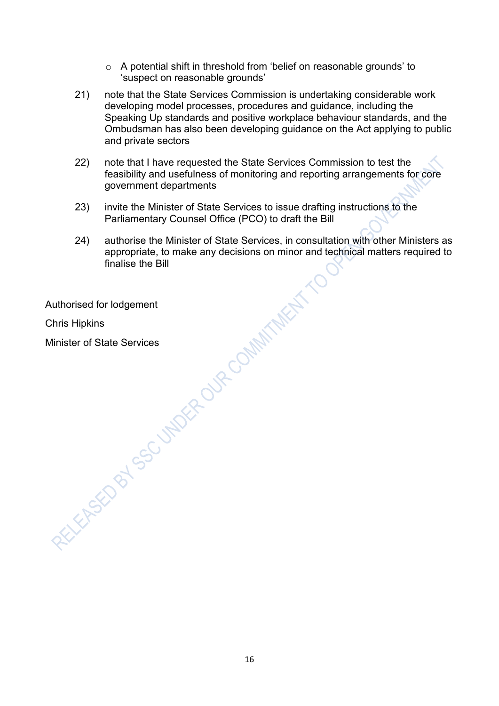- o A potential shift in threshold from 'belief on reasonable grounds' to 'suspect on reasonable grounds'
- 21) note that the State Services Commission is undertaking considerable work developing model processes, procedures and guidance, including the Speaking Up standards and positive workplace behaviour standards, and the Ombudsman has also been developing guidance on the Act applying to public and private sectors
- 22) note that I have requested the State Services Commission to test the feasibility and usefulness of monitoring and reporting arrangements for core government departments
- 23) invite the Minister of State Services to issue drafting instructions to the Parliamentary Counsel Office (PCO) to draft the Bill
- 24) authorise the Minister of State Services, in consultation with other Ministers as appropriate, to make any decisions on minor and technical matters required to finalise the Bill

Authorised for lodgement

Chris Hipkins

Minister of State Services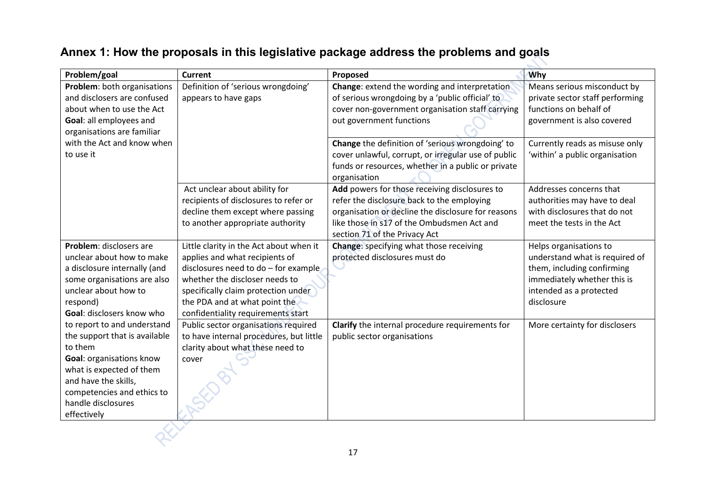### **Problem/goal Current Proposed Why Problem**: both organisations and disclosers are confused about when to use the Act **Goal**: all employees and organisations are familiar with the Act and know when to use it Definition of 'serious wrongdoing' appears to have gaps **Change**: extend the wording and interpretation of serious wrongdoing by a 'public official' to cover non-government organisation staff carrying out government functions Means serious misconduct by private sector staff performing functions on behalf of government is also covered **Change** the definition of 'serious wrongdoing' to cover unlawful, corrupt, or irregular use of public funds or resources, whether in a public or private organisation Currently reads as misuse only 'within' a public organisation Act unclear about ability for recipients of disclosures to refer or decline them except where passing to another appropriate authority **Add** powers for those receiving disclosures to refer the disclosure back to the employing organisation or decline the disclosure for reasons like those in s17 of the Ombudsmen Act and section 71 of the Privacy Act Addresses concerns that authorities may have to deal with disclosures that do not meet the tests in the Act **Problem**: disclosers are unclear about how to make a disclosure internally (and some organisations are also unclear about how to respond) **Goal**: disclosers know who to report to and understand the support that is available to them **Goal**: organisations know what is expected of them and have the skills, competencies and ethics to handle disclosures effectively Little clarity in the Act about when it applies and what recipients of disclosures need to do – for example whether the discloser needs to specifically claim protection under the PDA and at what point the confidentiality requirements start **Change**: specifying what those receiving protected disclosures must do Helps organisations to understand what is required of them, including confirming immediately whether this is intended as a protected disclosure Public sector organisations required to have internal procedures, but little clarity about what these need to cover **Clarify** the internal procedure requirements for public sector organisations More certainty for disclosers

## **Annex 1: How the proposals in this legislative package address the problems and goals**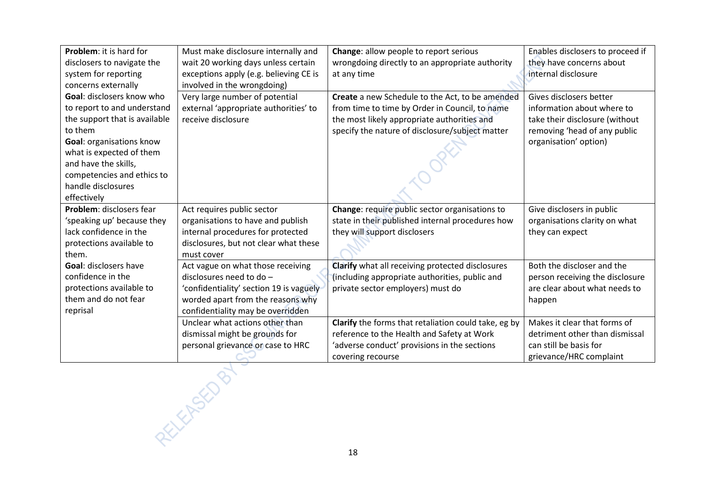| Problem: it is hard for         | Must make disclosure internally and     | Change: allow people to report serious               | Enables disclosers to proceed if |
|---------------------------------|-----------------------------------------|------------------------------------------------------|----------------------------------|
| disclosers to navigate the      | wait 20 working days unless certain     | wrongdoing directly to an appropriate authority      | they have concerns about         |
| system for reporting            | exceptions apply (e.g. believing CE is  | at any time                                          | internal disclosure              |
| concerns externally             | involved in the wrongdoing)             |                                                      |                                  |
| Goal: disclosers know who       | Very large number of potential          | Create a new Schedule to the Act, to be amended      | Gives disclosers better          |
| to report to and understand     | external 'appropriate authorities' to   | from time to time by Order in Council, to name       | information about where to       |
| the support that is available   | receive disclosure                      | the most likely appropriate authorities and          | take their disclosure (without   |
| to them                         |                                         | specify the nature of disclosure/subject matter      | removing 'head of any public     |
| <b>Goal: organisations know</b> |                                         |                                                      | organisation' option)            |
| what is expected of them        |                                         |                                                      |                                  |
| and have the skills,            |                                         |                                                      |                                  |
| competencies and ethics to      |                                         |                                                      |                                  |
| handle disclosures              |                                         |                                                      |                                  |
| effectively                     |                                         |                                                      |                                  |
| Problem: disclosers fear        | Act requires public sector              | Change: require public sector organisations to       | Give disclosers in public        |
| 'speaking up' because they      | organisations to have and publish       | state in their published internal procedures how     | organisations clarity on what    |
| lack confidence in the          | internal procedures for protected       | they will support disclosers                         | they can expect                  |
| protections available to        | disclosures, but not clear what these   |                                                      |                                  |
| them.                           | must cover                              |                                                      |                                  |
| <b>Goal: disclosers have</b>    | Act vague on what those receiving       | Clarify what all receiving protected disclosures     | Both the discloser and the       |
| confidence in the               | disclosures need to do -                | (including appropriate authorities, public and       | person receiving the disclosure  |
| protections available to        | 'confidentiality' section 19 is vaguely | private sector employers) must do                    | are clear about what needs to    |
| them and do not fear            | worded apart from the reasons why       |                                                      | happen                           |
| reprisal                        | confidentiality may be overridden       |                                                      |                                  |
|                                 | Unclear what actions other than         | Clarify the forms that retaliation could take, eg by | Makes it clear that forms of     |
|                                 | dismissal might be grounds for          | reference to the Health and Safety at Work           | detriment other than dismissal   |
|                                 | personal grievance or case to HRC       | 'adverse conduct' provisions in the sections         | can still be basis for           |
|                                 |                                         | covering recourse                                    | grievance/HRC complaint          |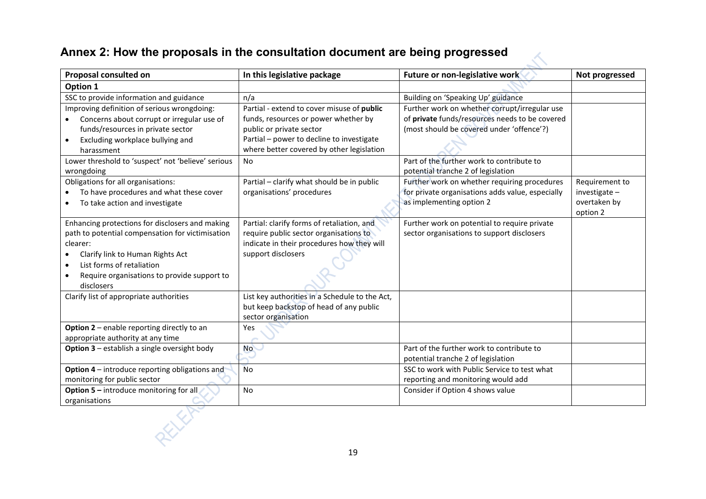## **Annex 2: How the proposals in the consultation document are being progressed**

| Proposal consulted on                                     | In this legislative package                    | Future or non-legislative work                   | Not progressed |
|-----------------------------------------------------------|------------------------------------------------|--------------------------------------------------|----------------|
| Option 1                                                  |                                                |                                                  |                |
| SSC to provide information and guidance                   | n/a                                            | Building on 'Speaking Up' guidance               |                |
| Improving definition of serious wrongdoing:               | Partial - extend to cover misuse of public     | Further work on whether corrupt/irregular use    |                |
| Concerns about corrupt or irregular use of                | funds, resources or power whether by           | of private funds/resources needs to be covered   |                |
| funds/resources in private sector                         | public or private sector                       | (most should be covered under 'offence'?)        |                |
| Excluding workplace bullying and                          | Partial - power to decline to investigate      |                                                  |                |
| harassment                                                | where better covered by other legislation      |                                                  |                |
| Lower threshold to 'suspect' not 'believe' serious        | No                                             | Part of the further work to contribute to        |                |
| wrongdoing                                                |                                                | potential tranche 2 of legislation               |                |
| Obligations for all organisations:                        | Partial - clarify what should be in public     | Further work on whether requiring procedures     | Requirement to |
| To have procedures and what these cover                   | organisations' procedures                      | for private organisations adds value, especially | investigate-   |
| To take action and investigate                            |                                                | as implementing option 2                         | overtaken by   |
|                                                           |                                                |                                                  | option 2       |
| Enhancing protections for disclosers and making           | Partial: clarify forms of retaliation, and     | Further work on potential to require private     |                |
| path to potential compensation for victimisation          | require public sector organisations to         | sector organisations to support disclosers       |                |
| clearer:                                                  | indicate in their procedures how they will     |                                                  |                |
| Clarify link to Human Rights Act                          | support disclosers                             |                                                  |                |
| List forms of retaliation                                 |                                                |                                                  |                |
| Require organisations to provide support to<br>disclosers |                                                |                                                  |                |
| Clarify list of appropriate authorities                   | List key authorities in a Schedule to the Act, |                                                  |                |
|                                                           | but keep backstop of head of any public        |                                                  |                |
|                                                           | sector organisation                            |                                                  |                |
| Option 2 - enable reporting directly to an                | Yes                                            |                                                  |                |
| appropriate authority at any time                         |                                                |                                                  |                |
| <b>Option 3</b> – establish a single oversight body       | <b>No</b>                                      | Part of the further work to contribute to        |                |
|                                                           |                                                | potential tranche 2 of legislation               |                |
| <b>Option 4-introduce reporting obligations and</b>       | No                                             | SSC to work with Public Service to test what     |                |
| monitoring for public sector                              |                                                | reporting and monitoring would add               |                |
| Option 5 - introduce monitoring for all                   | No                                             | Consider if Option 4 shows value                 |                |
| organisations                                             |                                                |                                                  |                |
|                                                           |                                                |                                                  |                |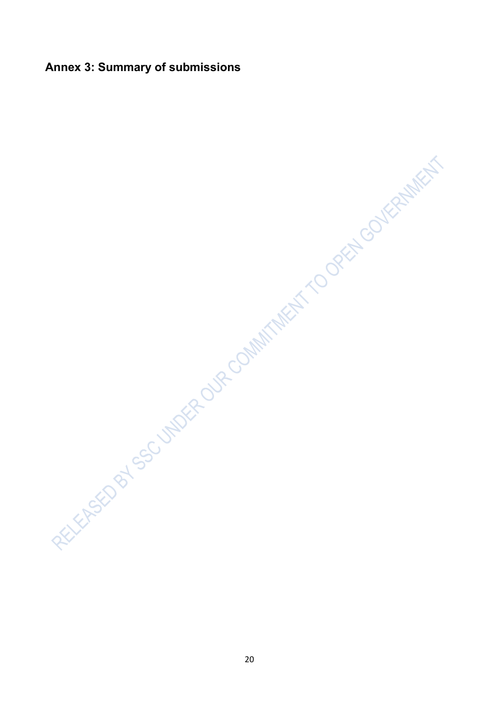Annex 3: Summary of submissions<br>
Mannex 3: Summary of submissions<br>
and the second of the second of the second of the second of the second of the second of the second of the second of the second of the second of the second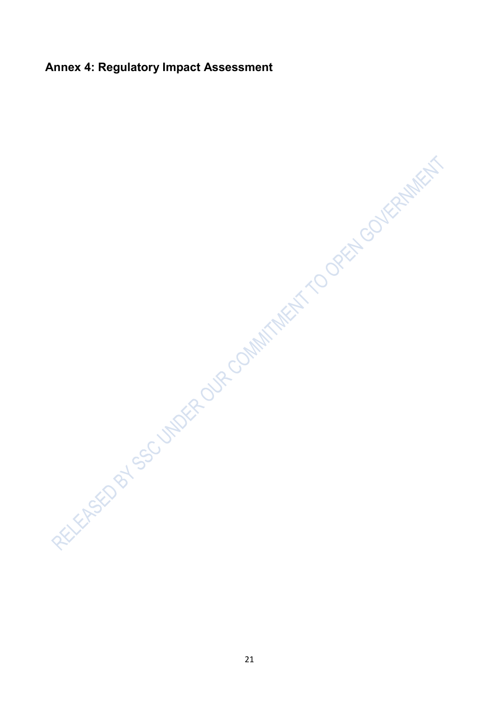Annex 4: Regulatory Impact Assessment<br>
Annex 4: Regulatory Impact Assessment<br>
Annex 4: Regulatory Impact Assessment<br>
Annex 4: Regulatory Impact Assessment<br>
Annex 4: Regulatory Impact Assessment<br>
Annex Assessment<br>
Annex Ass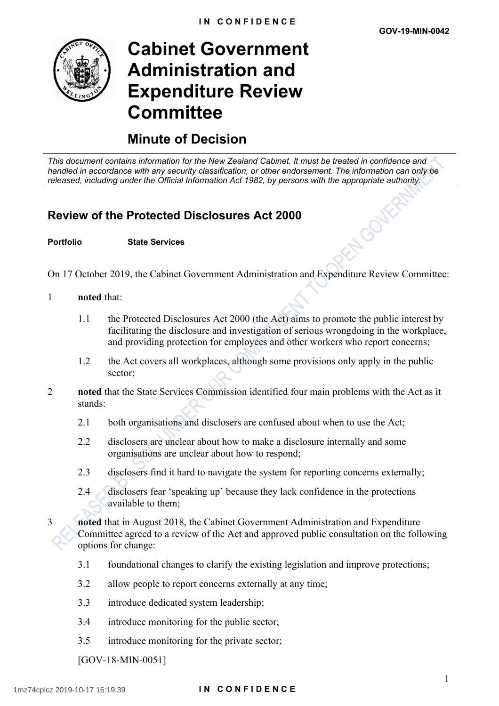LOJ



# **Cabinet Government Administration and Expenditure Review Committee**

## **Minute of Decision**

*This document contains information for the New Zealand Cabinet. It must be treated in confidence and handled in accordance with any security classification, or other endorsement. The information can only be released, including under the Official Information Act 1982, by persons with the appropriate authority.*

## **Review of the Protected Disclosures Act 2000**

### **Portfolio State Services**

On 17 October 2019, the Cabinet Government Administration and Expenditure Review Committee:

- 1 **noted** that:
	- 1.1 the Protected Disclosures Act 2000 (the Act) aims to promote the public interest by facilitating the disclosure and investigation of serious wrongdoing in the workplace, and providing protection for employees and other workers who report concerns;
	- 1.2 the Act covers all workplaces, although some provisions only apply in the public sector:
- 2 **noted** that the State Services Commission identified four main problems with the Act as it stands:
	- 2.1 both organisations and disclosers are confused about when to use the Act;
	- 2.2 disclosers are unclear about how to make a disclosure internally and some organisations are unclear about how to respond;
	- 2.3 disclosers find it hard to navigate the system for reporting concerns externally;
	- 2.4 disclosers fear 'speaking up' because they lack confidence in the protections available to them;
- 3 **noted** that in August 2018, the Cabinet Government Administration and Expenditure Committee agreed to a review of the Act and approved public consultation on the following options for change:
	- 3.1 foundational changes to clarify the existing legislation and improve protections;
	- 3.2 allow people to report concerns externally at any time;
	- 3.3 introduce dedicated system leadership;
	- 3.4 introduce monitoring for the public sector;
	- 3.5 introduce monitoring for the private sector;

[GOV-18-MIN-0051]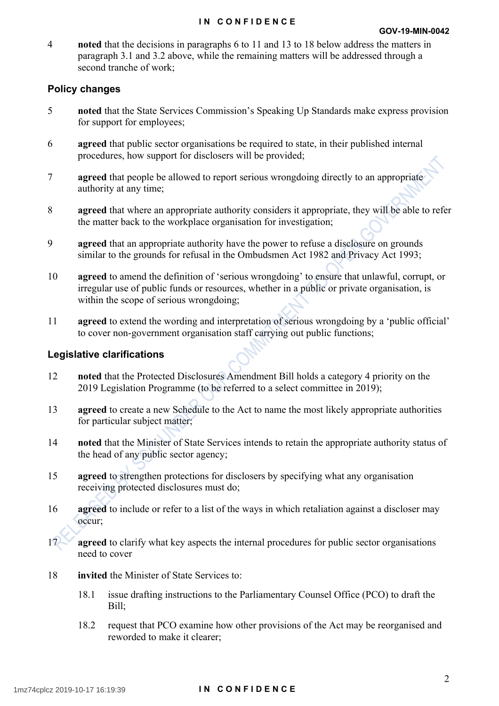### **IN CONFIDENCE**

4 **noted** that the decisions in paragraphs 6 to 11 and 13 to 18 below address the matters in paragraph 3.1 and 3.2 above, while the remaining matters will be addressed through a second tranche of work;

## **Policy changes**

- 5 **noted** that the State Services Commission's Speaking Up Standards make express provision for support for employees;
- 6 **agreed** that public sector organisations be required to state, in their published internal procedures, how support for disclosers will be provided;
- 7 **agreed** that people be allowed to report serious wrongdoing directly to an appropriate authority at any time;
- 8 **agreed** that where an appropriate authority considers it appropriate, they will be able to refer the matter back to the workplace organisation for investigation;
- 9 **agreed** that an appropriate authority have the power to refuse a disclosure on grounds similar to the grounds for refusal in the Ombudsmen Act 1982 and Privacy Act 1993;
- 10 **agreed** to amend the definition of 'serious wrongdoing' to ensure that unlawful, corrupt, or irregular use of public funds or resources, whether in a public or private organisation, is within the scope of serious wrongdoing;
- 11 **agreed** to extend the wording and interpretation of serious wrongdoing by a 'public official' to cover non-government organisation staff carrying out public functions;

## **Legislative clarifications**

- 12 **noted** that the Protected Disclosures Amendment Bill holds a category 4 priority on the 2019 Legislation Programme (to be referred to a select committee in 2019);
- 13 **agreed** to create a new Schedule to the Act to name the most likely appropriate authorities for particular subject matter;
- 14 **noted** that the Minister of State Services intends to retain the appropriate authority status of the head of any public sector agency;
- 15 **agreed** to strengthen protections for disclosers by specifying what any organisation receiving protected disclosures must do;
- 16 **agreed** to include or refer to a list of the ways in which retaliation against a discloser may occur;
- 17<sup>2</sup> **agreed** to clarify what key aspects the internal procedures for public sector organisations need to cover
- 18 **invited** the Minister of State Services to:
	- 18.1 issue drafting instructions to the Parliamentary Counsel Office (PCO) to draft the Bill;
	- 18.2 request that PCO examine how other provisions of the Act may be reorganised and reworded to make it clearer;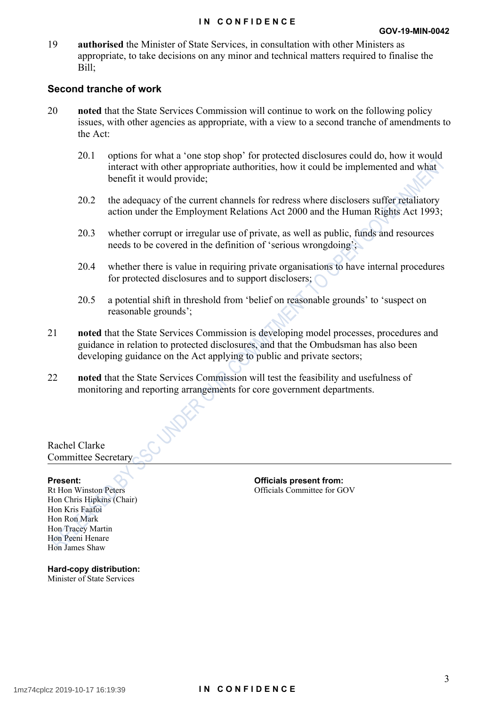### **IN CONFIDENCE**

19 **authorised** the Minister of State Services, in consultation with other Ministers as appropriate, to take decisions on any minor and technical matters required to finalise the Bill;

## **Second tranche of work**

- 20 **noted** that the State Services Commission will continue to work on the following policy issues, with other agencies as appropriate, with a view to a second tranche of amendments to the Act:
	- 20.1 options for what a 'one stop shop' for protected disclosures could do, how it would interact with other appropriate authorities, how it could be implemented and what benefit it would provide;
	- 20.2 the adequacy of the current channels for redress where disclosers suffer retaliatory action under the Employment Relations Act 2000 and the Human Rights Act 1993;
	- 20.3 whether corrupt or irregular use of private, as well as public, funds and resources needs to be covered in the definition of 'serious wrongdoing';
	- 20.4 whether there is value in requiring private organisations to have internal procedures for protected disclosures and to support disclosers;
	- 20.5 a potential shift in threshold from 'belief on reasonable grounds' to 'suspect on reasonable grounds';
- 21 **noted** that the State Services Commission is developing model processes, procedures and guidance in relation to protected disclosures, and that the Ombudsman has also been developing guidance on the Act applying to public and private sectors;
- 22 **noted** that the State Services Commission will test the feasibility and usefulness of monitoring and reporting arrangements for core government departments.

Rachel Clarke Committee Secretary

Rt Hon Winston Peters Hon Chris Hipkins (Chair) Hon Kris Faafoi Hon Ron Mark Hon Tracey Martin Hon Peeni Henare Hon James Shaw

**Present: Officials present from: Officials present from:** Officials Committee for GOV

**Hard-copy distribution:** Minister of State Services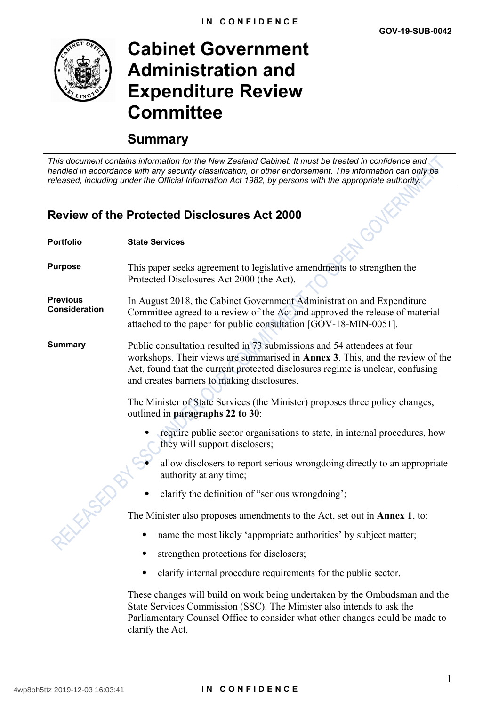

# **Cabinet Government Administration and Expenditure Review Committee**

## **Summary**

*This document contains information for the New Zealand Cabinet. It must be treated in confidence and handled in accordance with any security classification, or other endorsement. The information can only be released, including under the Official Information Act 1982, by persons with the appropriate authority.*

## **Review of the Protected Disclosures Act 2000**

| <b>Portfolio</b>                        | <b>State Services</b>                                                                                                                                                                                                                                                                             |  |  |
|-----------------------------------------|---------------------------------------------------------------------------------------------------------------------------------------------------------------------------------------------------------------------------------------------------------------------------------------------------|--|--|
| <b>Purpose</b>                          | This paper seeks agreement to legislative amendments to strengthen the<br>Protected Disclosures Act 2000 (the Act).                                                                                                                                                                               |  |  |
| <b>Previous</b><br><b>Consideration</b> | In August 2018, the Cabinet Government Administration and Expenditure<br>Committee agreed to a review of the Act and approved the release of material<br>attached to the paper for public consultation [GOV-18-MIN-0051].                                                                         |  |  |
| <b>Summary</b>                          | Public consultation resulted in 73 submissions and 54 attendees at four<br>workshops. Their views are summarised in <b>Annex 3</b> . This, and the review of the<br>Act, found that the current protected disclosures regime is unclear, confusing<br>and creates barriers to making disclosures. |  |  |
|                                         | The Minister of State Services (the Minister) proposes three policy changes,<br>outlined in paragraphs 22 to 30:                                                                                                                                                                                  |  |  |
|                                         | require public sector organisations to state, in internal procedures, how<br>they will support disclosers;                                                                                                                                                                                        |  |  |
| Elfreit                                 | allow disclosers to report serious wrongdoing directly to an appropriate<br>authority at any time;                                                                                                                                                                                                |  |  |
|                                         | clarify the definition of "serious wrongdoing";                                                                                                                                                                                                                                                   |  |  |
|                                         | The Minister also proposes amendments to the Act, set out in <b>Annex 1</b> , to:                                                                                                                                                                                                                 |  |  |
|                                         | name the most likely 'appropriate authorities' by subject matter;                                                                                                                                                                                                                                 |  |  |
|                                         | strengthen protections for disclosers;<br>٠                                                                                                                                                                                                                                                       |  |  |
|                                         | clarify internal procedure requirements for the public sector.                                                                                                                                                                                                                                    |  |  |
|                                         | These changes will build on work being undertaken by the Ombudsman and the<br>State Services Commission (SSC). The Minister also intends to ask the<br>Parliamentary Counsel Office to consider what other changes could be made to<br>clarify the Act.                                           |  |  |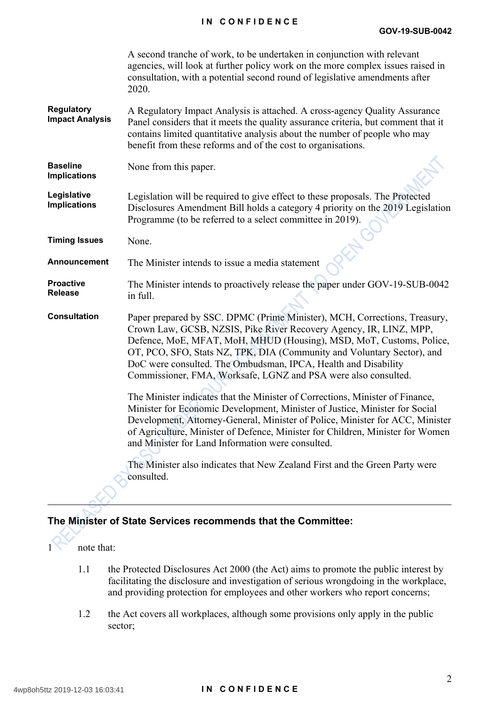### **IN CONFIDENCE**

|                                             | A second tranche of work, to be undertaken in conjunction with relevant<br>agencies, will look at further policy work on the more complex issues raised in<br>consultation, with a potential second round of legislative amendments after<br>2020.                                                                                                                                                                                   |
|---------------------------------------------|--------------------------------------------------------------------------------------------------------------------------------------------------------------------------------------------------------------------------------------------------------------------------------------------------------------------------------------------------------------------------------------------------------------------------------------|
| <b>Regulatory</b><br><b>Impact Analysis</b> | A Regulatory Impact Analysis is attached. A cross-agency Quality Assurance<br>Panel considers that it meets the quality assurance criteria, but comment that it<br>contains limited quantitative analysis about the number of people who may<br>benefit from these reforms and of the cost to organisations.                                                                                                                         |
| <b>Baseline</b><br><b>Implications</b>      | None from this paper.                                                                                                                                                                                                                                                                                                                                                                                                                |
| Legislative<br><b>Implications</b>          | Legislation will be required to give effect to these proposals. The Protected<br>Disclosures Amendment Bill holds a category 4 priority on the 2019 Legislation<br>Programme (to be referred to a select committee in 2019).                                                                                                                                                                                                         |
| <b>Timing Issues</b>                        | None.                                                                                                                                                                                                                                                                                                                                                                                                                                |
| Announcement                                | The Minister intends to issue a media statement                                                                                                                                                                                                                                                                                                                                                                                      |
| <b>Proactive</b><br><b>Release</b>          | The Minister intends to proactively release the paper under GOV-19-SUB-0042<br>in full.                                                                                                                                                                                                                                                                                                                                              |
| <b>Consultation</b>                         | Paper prepared by SSC. DPMC (Prime Minister), MCH, Corrections, Treasury,<br>Crown Law, GCSB, NZSIS, Pike River Recovery Agency, IR, LINZ, MPP,<br>Defence, MoE, MFAT, MoH, MHUD (Housing), MSD, MoT, Customs, Police,<br>OT, PCO, SFO, Stats NZ, TPK, DIA (Community and Voluntary Sector), and<br>DoC were consulted. The Ombudsman, IPCA, Health and Disability<br>Commissioner, FMA, Worksafe, LGNZ and PSA were also consulted. |
|                                             | The Minister indicates that the Minister of Corrections, Minister of Finance,<br>Minister for Economic Development, Minister of Justice, Minister for Social<br>Development, Attorney-General, Minister of Police, Minister for ACC, Minister<br>of Agriculture, Minister of Defence, Minister for Children, Minister for Women<br>and Minister for Land Information were consulted.                                                 |
|                                             | The Minister also indicates that New Zealand First and the Green Party were<br>consulted.                                                                                                                                                                                                                                                                                                                                            |

## **The Minister of State Services recommends that the Committee:**

1 note that:

- 1.1 the Protected Disclosures Act 2000 (the Act) aims to promote the public interest by facilitating the disclosure and investigation of serious wrongdoing in the workplace, and providing protection for employees and other workers who report concerns;
- 1.2 the Act covers all workplaces, although some provisions only apply in the public sector;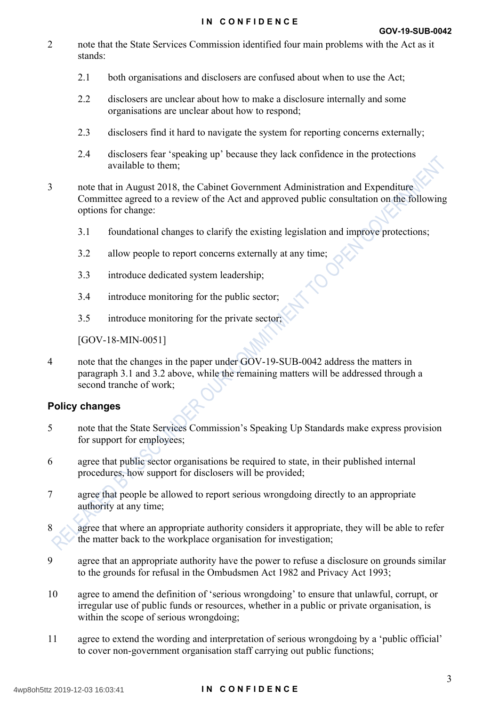- 2 note that the State Services Commission identified four main problems with the Act as it stands:
	- 2.1 both organisations and disclosers are confused about when to use the Act;
	- 2.2 disclosers are unclear about how to make a disclosure internally and some organisations are unclear about how to respond;
	- 2.3 disclosers find it hard to navigate the system for reporting concerns externally;
	- 2.4 disclosers fear 'speaking up' because they lack confidence in the protections available to them;
- 3 note that in August 2018, the Cabinet Government Administration and Expenditure Committee agreed to a review of the Act and approved public consultation on the following options for change:
	- 3.1 foundational changes to clarify the existing legislation and improve protections;
	- 3.2 allow people to report concerns externally at any time;
	- 3.3 introduce dedicated system leadership;
	- 3.4 introduce monitoring for the public sector;
	- 3.5 introduce monitoring for the private sector;

[GOV-18-MIN-0051]

4 note that the changes in the paper under GOV-19-SUB-0042 address the matters in paragraph 3.1 and 3.2 above, while the remaining matters will be addressed through a second tranche of work;

## **Policy changes**

- 5 note that the State Services Commission's Speaking Up Standards make express provision for support for employees;
- 6 agree that public sector organisations be required to state, in their published internal procedures, how support for disclosers will be provided;
- 7 agree that people be allowed to report serious wrongdoing directly to an appropriate authority at any time;
- 8 agree that where an appropriate authority considers it appropriate, they will be able to refer the matter back to the workplace organisation for investigation;
- 9 agree that an appropriate authority have the power to refuse a disclosure on grounds similar to the grounds for refusal in the Ombudsmen Act 1982 and Privacy Act 1993;
- 10 agree to amend the definition of 'serious wrongdoing' to ensure that unlawful, corrupt, or irregular use of public funds or resources, whether in a public or private organisation, is within the scope of serious wrongdoing;
- 11 agree to extend the wording and interpretation of serious wrongdoing by a 'public official' to cover non-government organisation staff carrying out public functions;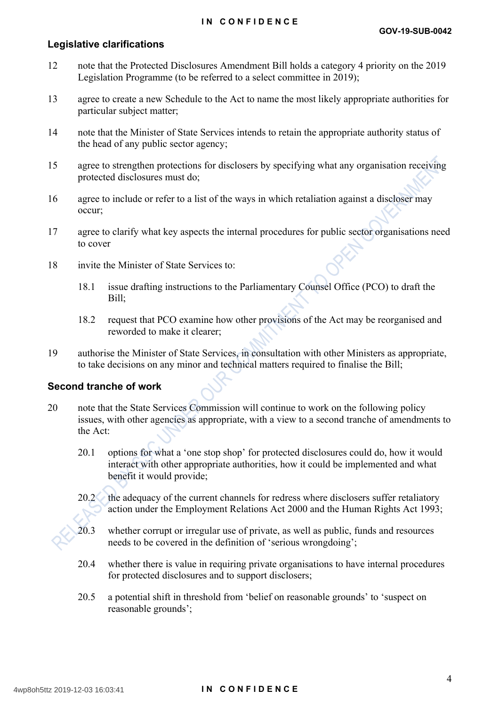### **IN CONFIDENCE**

### **Legislative clarifications**

- 12 note that the Protected Disclosures Amendment Bill holds a category 4 priority on the 2019 Legislation Programme (to be referred to a select committee in 2019);
- 13 agree to create a new Schedule to the Act to name the most likely appropriate authorities for particular subject matter;
- 14 note that the Minister of State Services intends to retain the appropriate authority status of the head of any public sector agency;
- 15 agree to strengthen protections for disclosers by specifying what any organisation receiving protected disclosures must do;
- 16 agree to include or refer to a list of the ways in which retaliation against a discloser may occur;
- 17 agree to clarify what key aspects the internal procedures for public sector organisations need to cover
- 18 invite the Minister of State Services to:
	- 18.1 issue drafting instructions to the Parliamentary Counsel Office (PCO) to draft the Bill;
	- 18.2 request that PCO examine how other provisions of the Act may be reorganised and reworded to make it clearer;
- 19 authorise the Minister of State Services, in consultation with other Ministers as appropriate, to take decisions on any minor and technical matters required to finalise the Bill;

### **Second tranche of work**

- 20 note that the State Services Commission will continue to work on the following policy issues, with other agencies as appropriate, with a view to a second tranche of amendments to the Act:
	- 20.1 options for what a 'one stop shop' for protected disclosures could do, how it would interact with other appropriate authorities, how it could be implemented and what benefit it would provide;
	- 20.2 the adequacy of the current channels for redress where disclosers suffer retaliatory action under the Employment Relations Act 2000 and the Human Rights Act 1993;
	- 20.3 whether corrupt or irregular use of private, as well as public, funds and resources needs to be covered in the definition of 'serious wrongdoing';
	- 20.4 whether there is value in requiring private organisations to have internal procedures for protected disclosures and to support disclosers;
	- 20.5 a potential shift in threshold from 'belief on reasonable grounds' to 'suspect on reasonable grounds';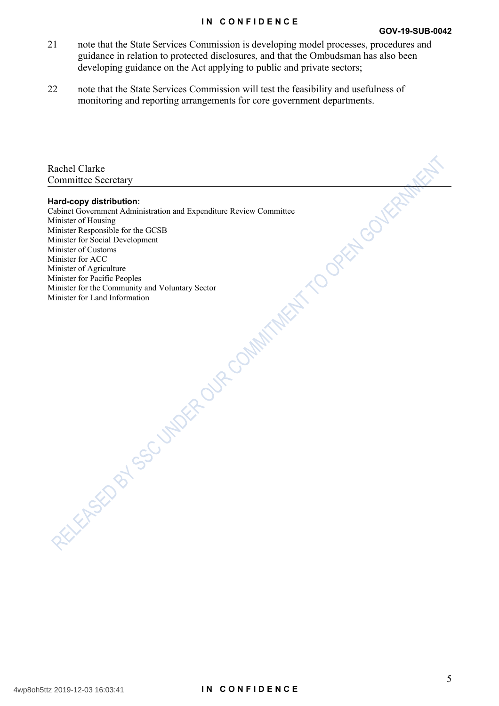### **IN CONFIDENCE**

- 21 note that the State Services Commission is developing model processes, procedures and guidance in relation to protected disclosures, and that the Ombudsman has also been developing guidance on the Act applying to public and private sectors;
- 22 note that the State Services Commission will test the feasibility and usefulness of monitoring and reporting arrangements for core government departments.

| TVERED OF SOUTHWEST TO DREAM MINIMIZER TO DREAM GOVERNMENT |  |
|------------------------------------------------------------|--|
|                                                            |  |
|                                                            |  |
|                                                            |  |
|                                                            |  |

5